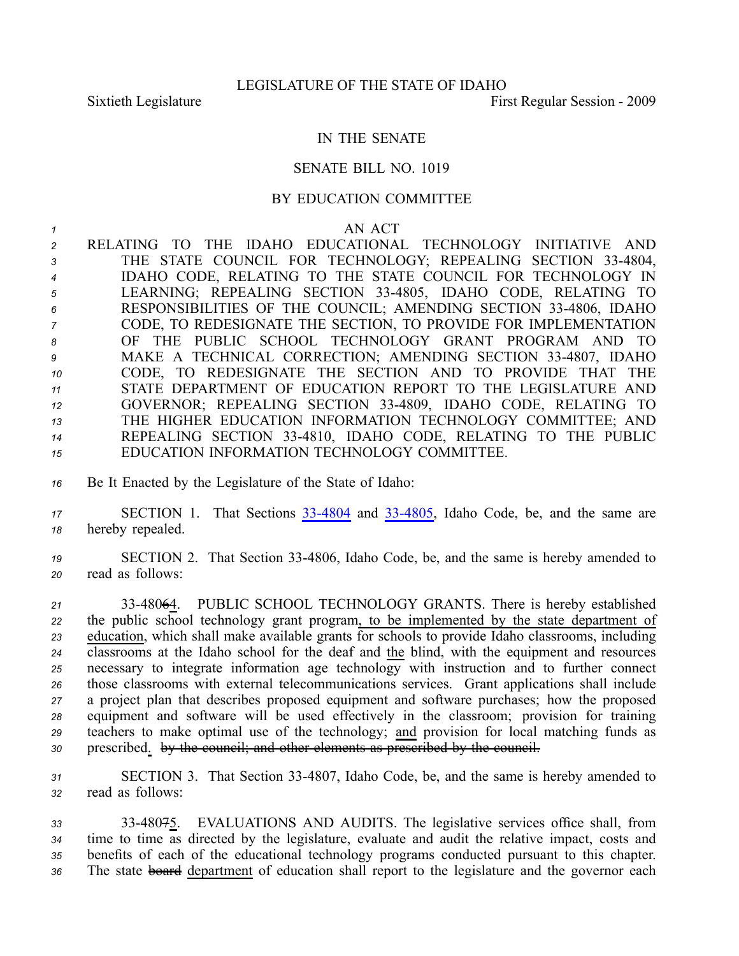## IN THE SENATE

## SENATE BILL NO. 1019

## BY EDUCATION COMMITTEE

*1* AN ACT

 RELATING TO THE IDAHO EDUCATIONAL TECHNOLOGY INITIATIVE AND THE STATE COUNCIL FOR TECHNOLOGY; REPEALING SECTION 334804, IDAHO CODE, RELATING TO THE STATE COUNCIL FOR TECHNOLOGY IN LEARNING; REPEALING SECTION 334805, IDAHO CODE, RELATING TO RESPONSIBILITIES OF THE COUNCIL; AMENDING SECTION 334806, IDAHO CODE, TO REDESIGNATE THE SECTION, TO PROVIDE FOR IMPLEMENTATION OF THE PUBLIC SCHOOL TECHNOLOGY GRANT PROGRAM AND TO MAKE A TECHNICAL CORRECTION; AMENDING SECTION 334807, IDAHO CODE, TO REDESIGNATE THE SECTION AND TO PROVIDE THAT THE STATE DEPARTMENT OF EDUCATION REPORT TO THE LEGISLATURE AND GOVERNOR; REPEALING SECTION 334809, IDAHO CODE, RELATING TO THE HIGHER EDUCATION INFORMATION TECHNOLOGY COMMITTEE; AND REPEALING SECTION 334810, IDAHO CODE, RELATING TO THE PUBLIC EDUCATION INFORMATION TECHNOLOGY COMMITTEE.

*<sup>16</sup>* Be It Enacted by the Legislature of the State of Idaho:

*<sup>17</sup>* SECTION 1. That Sections [334804](http://www.legislature.idaho.gov/idstat/Title33/T33CH48SECT33-4804.htm) and [334805](http://www.legislature.idaho.gov/idstat/Title33/T33CH48SECT33-4805.htm), Idaho Code, be, and the same are *<sup>18</sup>* hereby repealed.

*<sup>19</sup>* SECTION 2. That Section 334806, Idaho Code, be, and the same is hereby amended to *<sup>20</sup>* read as follows:

 3348064. PUBLIC SCHOOL TECHNOLOGY GRANTS. There is hereby established the public school technology gran<sup>t</sup> program, to be implemented by the state department of education, which shall make available grants for schools to provide Idaho classrooms, including classrooms at the Idaho school for the deaf and the blind, with the equipment and resources necessary to integrate information age technology with instruction and to further connect those classrooms with external telecommunications services. Grant applications shall include <sup>a</sup> project plan that describes proposed equipment and software purchases; how the proposed equipment and software will be used effectively in the classroom; provision for training teachers to make optimal use of the technology; and provision for local matching funds as prescribed. by the council; and other elements as prescribed by the council.

*<sup>31</sup>* SECTION 3. That Section 334807, Idaho Code, be, and the same is hereby amended to *<sup>32</sup>* read as follows:

 3348075. EVALUATIONS AND AUDITS. The legislative services office shall, from time to time as directed by the legislature, evaluate and audit the relative impact, costs and benefits of each of the educational technology programs conducted pursuan<sup>t</sup> to this chapter. The state board department of education shall repor<sup>t</sup> to the legislature and the governor each